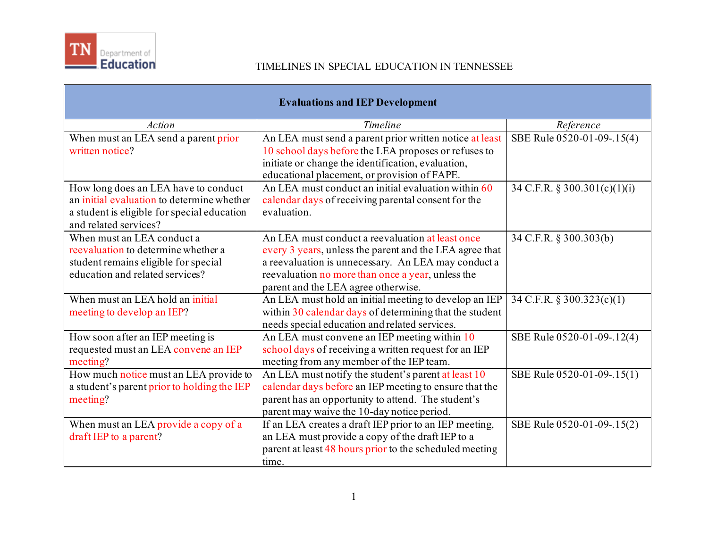

| <b>Evaluations and IEP Development</b>                                  |                                                                                          |                              |
|-------------------------------------------------------------------------|------------------------------------------------------------------------------------------|------------------------------|
| <b>Action</b>                                                           | Timeline                                                                                 | Reference                    |
| When must an LEA send a parent prior                                    | An LEA must send a parent prior written notice at least                                  | SBE Rule 0520-01-09-.15(4)   |
| written notice?                                                         | 10 school days before the LEA proposes or refuses to                                     |                              |
|                                                                         | initiate or change the identification, evaluation,                                       |                              |
|                                                                         | educational placement, or provision of FAPE.                                             |                              |
| How long does an LEA have to conduct                                    | An LEA must conduct an initial evaluation within 60                                      | 34 C.F.R. § 300.301(c)(1)(i) |
| an initial evaluation to determine whether                              | calendar days of receiving parental consent for the                                      |                              |
| a student is eligible for special education                             | evaluation.                                                                              |                              |
| and related services?                                                   |                                                                                          |                              |
| When must an LEA conduct a                                              | An LEA must conduct a reevaluation at least once                                         | 34 C.F.R. § 300.303(b)       |
| reevaluation to determine whether a                                     | every 3 years, unless the parent and the LEA agree that                                  |                              |
| student remains eligible for special<br>education and related services? | a reevaluation is unnecessary. An LEA may conduct a                                      |                              |
|                                                                         | reevaluation no more than once a year, unless the<br>parent and the LEA agree otherwise. |                              |
| When must an LEA hold an initial                                        | An LEA must hold an initial meeting to develop an IEP                                    | 34 C.F.R. § 300.323(c)(1)    |
| meeting to develop an IEP?                                              | within 30 calendar days of determining that the student                                  |                              |
|                                                                         | needs special education and related services.                                            |                              |
| How soon after an IEP meeting is                                        | An LEA must convene an IEP meeting within 10                                             | SBE Rule 0520-01-09-.12(4)   |
| requested must an LEA convene an IEP                                    | school days of receiving a written request for an IEP                                    |                              |
| meeting?                                                                | meeting from any member of the IEP team.                                                 |                              |
| How much notice must an LEA provide to                                  | An LEA must notify the student's parent at least 10                                      | SBE Rule 0520-01-09-.15(1)   |
| a student's parent prior to holding the IEP                             | calendar days before an IEP meeting to ensure that the                                   |                              |
| meeting?                                                                | parent has an opportunity to attend. The student's                                       |                              |
|                                                                         | parent may waive the 10-day notice period.                                               |                              |
| When must an LEA provide a copy of a                                    | If an LEA creates a draft IEP prior to an IEP meeting,                                   | SBE Rule 0520-01-09-.15(2)   |
| draft IEP to a parent?                                                  | an LEA must provide a copy of the draft IEP to a                                         |                              |
|                                                                         | parent at least 48 hours prior to the scheduled meeting                                  |                              |
|                                                                         | time.                                                                                    |                              |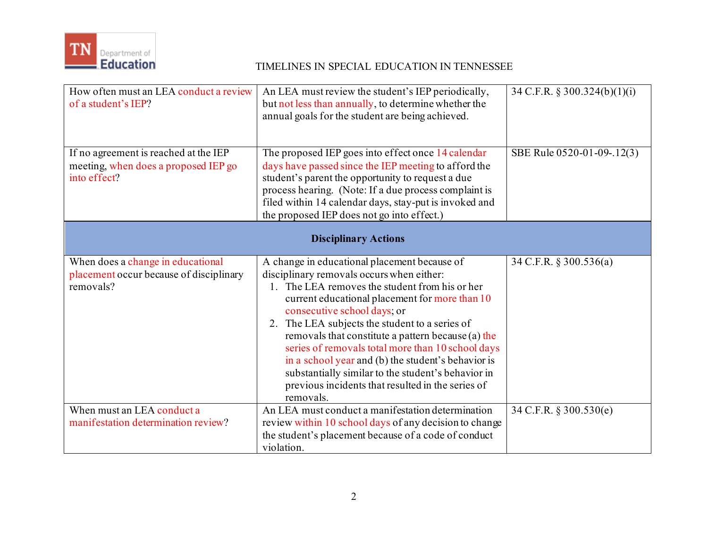

| How often must an LEA conduct a review<br>of a student's IEP?                                 | An LEA must review the student's IEP periodically,<br>but not less than annually, to determine whether the<br>annual goals for the student are being achieved.                                                                                                                                                                                                                                                                                                                                                                                                          | 34 C.F.R. § 300.324(b)(1)(i) |
|-----------------------------------------------------------------------------------------------|-------------------------------------------------------------------------------------------------------------------------------------------------------------------------------------------------------------------------------------------------------------------------------------------------------------------------------------------------------------------------------------------------------------------------------------------------------------------------------------------------------------------------------------------------------------------------|------------------------------|
| If no agreement is reached at the IEP<br>meeting, when does a proposed IEP go<br>into effect? | The proposed IEP goes into effect once 14 calendar<br>days have passed since the IEP meeting to afford the<br>student's parent the opportunity to request a due<br>process hearing. (Note: If a due process complaint is<br>filed within 14 calendar days, stay-put is invoked and<br>the proposed IEP does not go into effect.)                                                                                                                                                                                                                                        | SBE Rule 0520-01-09-.12(3)   |
| <b>Disciplinary Actions</b>                                                                   |                                                                                                                                                                                                                                                                                                                                                                                                                                                                                                                                                                         |                              |
| When does a change in educational<br>placement occur because of disciplinary<br>removals?     | A change in educational placement because of<br>disciplinary removals occurs when either:<br>1. The LEA removes the student from his or her<br>current educational placement for more than 10<br>consecutive school days; or<br>2. The LEA subjects the student to a series of<br>removals that constitute a pattern because (a) the<br>series of removals total more than 10 school days<br>in a school year and (b) the student's behavior is<br>substantially similar to the student's behavior in<br>previous incidents that resulted in the series of<br>removals. | 34 C.F.R. § 300.536(a)       |
| When must an LEA conduct a<br>manifestation determination review?                             | An LEA must conduct a manifestation determination<br>review within 10 school days of any decision to change<br>the student's placement because of a code of conduct<br>violation.                                                                                                                                                                                                                                                                                                                                                                                       | 34 C.F.R. § 300.530(e)       |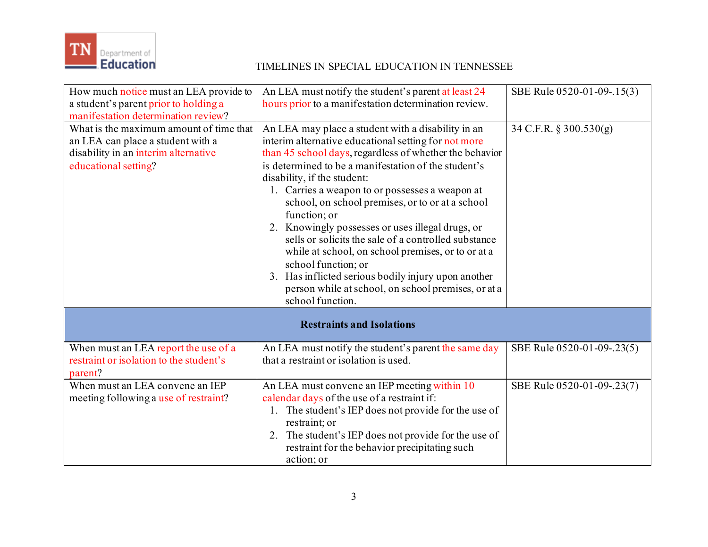

| How much notice must an LEA provide to<br>a student's parent prior to holding a<br>manifestation determination review?                       | An LEA must notify the student's parent at least 24<br>hours prior to a manifestation determination review.                                                                                                                                                                                                                                                                                                                                                                                                                                                                                                                                                                                                    | SBE Rule 0520-01-09-.15(3) |
|----------------------------------------------------------------------------------------------------------------------------------------------|----------------------------------------------------------------------------------------------------------------------------------------------------------------------------------------------------------------------------------------------------------------------------------------------------------------------------------------------------------------------------------------------------------------------------------------------------------------------------------------------------------------------------------------------------------------------------------------------------------------------------------------------------------------------------------------------------------------|----------------------------|
| What is the maximum amount of time that<br>an LEA can place a student with a<br>disability in an interim alternative<br>educational setting? | An LEA may place a student with a disability in an<br>interim alternative educational setting for not more<br>than 45 school days, regardless of whether the behavior<br>is determined to be a manifestation of the student's<br>disability, if the student:<br>1. Carries a weapon to or possesses a weapon at<br>school, on school premises, or to or at a school<br>function; or<br>2. Knowingly possesses or uses illegal drugs, or<br>sells or solicits the sale of a controlled substance<br>while at school, on school premises, or to or at a<br>school function; or<br>3. Has inflicted serious bodily injury upon another<br>person while at school, on school premises, or at a<br>school function. | 34 C.F.R. § 300.530(g)     |
| <b>Restraints and Isolations</b>                                                                                                             |                                                                                                                                                                                                                                                                                                                                                                                                                                                                                                                                                                                                                                                                                                                |                            |
| When must an LEA report the use of a<br>restraint or isolation to the student's<br>parent?                                                   | An LEA must notify the student's parent the same day<br>that a restraint or isolation is used.                                                                                                                                                                                                                                                                                                                                                                                                                                                                                                                                                                                                                 | SBE Rule 0520-01-09-.23(5) |
| When must an LEA convene an IEP<br>meeting following a use of restraint?                                                                     | An LEA must convene an IEP meeting within 10<br>calendar days of the use of a restraint if:<br>1. The student's IEP does not provide for the use of<br>restraint; or<br>The student's IEP does not provide for the use of<br>2.<br>restraint for the behavior precipitating such<br>action; or                                                                                                                                                                                                                                                                                                                                                                                                                 | SBE Rule 0520-01-09-.23(7) |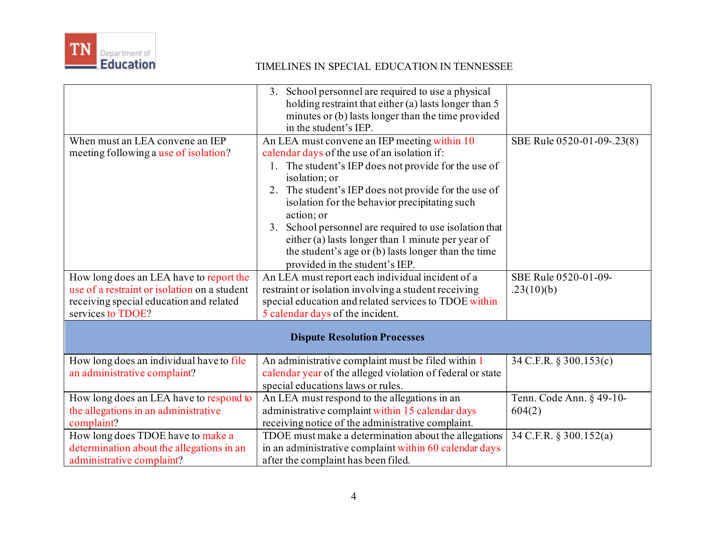

|                                                                          | 3. School personnel are required to use a physical<br>holding restraint that either (a) lasts longer than 5<br>minutes or (b) lasts longer than the time provided<br>in the student's IEP.                                                                                                                                                                                                                                                                                                                 |                            |
|--------------------------------------------------------------------------|------------------------------------------------------------------------------------------------------------------------------------------------------------------------------------------------------------------------------------------------------------------------------------------------------------------------------------------------------------------------------------------------------------------------------------------------------------------------------------------------------------|----------------------------|
| When must an LEA convene an IEP<br>meeting following a use of isolation? | An LEA must convene an IEP meeting within 10<br>calendar days of the use of an isolation if:<br>1. The student's IEP does not provide for the use of<br>isolation; or<br>The student's IEP does not provide for the use of<br>2.<br>isolation for the behavior precipitating such<br>action; or<br>School personnel are required to use isolation that<br>3.<br>either (a) lasts longer than 1 minute per year of<br>the student's age or (b) lasts longer than the time<br>provided in the student's IEP. | SBE Rule 0520-01-09-.23(8) |
| How long does an LEA have to report the                                  | An LEA must report each individual incident of a                                                                                                                                                                                                                                                                                                                                                                                                                                                           | SBE Rule 0520-01-09-       |
| use of a restraint or isolation on a student                             | restraint or isolation involving a student receiving                                                                                                                                                                                                                                                                                                                                                                                                                                                       | .23(10)(b)                 |
| receiving special education and related                                  | special education and related services to TDOE within                                                                                                                                                                                                                                                                                                                                                                                                                                                      |                            |
| services to TDOE?                                                        | 5 calendar days of the incident.                                                                                                                                                                                                                                                                                                                                                                                                                                                                           |                            |
| <b>Dispute Resolution Processes</b>                                      |                                                                                                                                                                                                                                                                                                                                                                                                                                                                                                            |                            |
| How long does an individual have to file<br>an administrative complaint? | An administrative complaint must be filed within 1<br>calendar year of the alleged violation of federal or state<br>special educations laws or rules.                                                                                                                                                                                                                                                                                                                                                      | 34 C.F.R. § 300.153(c)     |
| How long does an LEA have to respond to                                  | An LEA must respond to the allegations in an                                                                                                                                                                                                                                                                                                                                                                                                                                                               | Tenn. Code Ann. § 49-10-   |
| the allegations in an administrative                                     | administrative complaint within 15 calendar days                                                                                                                                                                                                                                                                                                                                                                                                                                                           | 604(2)                     |
| complaint?                                                               | receiving notice of the administrative complaint.                                                                                                                                                                                                                                                                                                                                                                                                                                                          |                            |
| How long does TDOE have to make a                                        | TDOE must make a determination about the allegations                                                                                                                                                                                                                                                                                                                                                                                                                                                       | 34 C.F.R. § 300.152(a)     |
| determination about the allegations in an                                | in an administrative complaint within 60 calendar days                                                                                                                                                                                                                                                                                                                                                                                                                                                     |                            |
| administrative complaint?                                                | after the complaint has been filed.                                                                                                                                                                                                                                                                                                                                                                                                                                                                        |                            |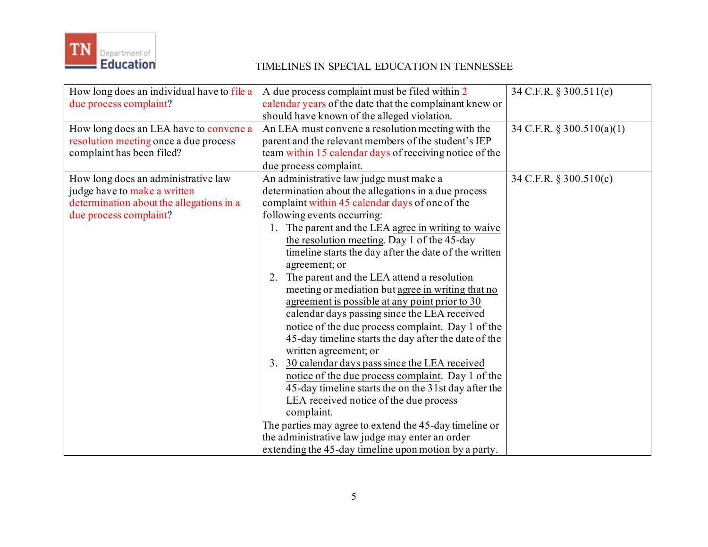

| How long does an individual have to file a<br>due process complaint?                                                                      | A due process complaint must be filed within 2<br>calendar years of the date that the complainant knew or<br>should have known of the alleged violation.                                                                                                                                                                                                                                                                                                                                                                                                                                                                                                                                                                                                                                                                                                                                                                                                                                                                                                                                                      | 34 C.F.R. § 300.511(e)    |
|-------------------------------------------------------------------------------------------------------------------------------------------|---------------------------------------------------------------------------------------------------------------------------------------------------------------------------------------------------------------------------------------------------------------------------------------------------------------------------------------------------------------------------------------------------------------------------------------------------------------------------------------------------------------------------------------------------------------------------------------------------------------------------------------------------------------------------------------------------------------------------------------------------------------------------------------------------------------------------------------------------------------------------------------------------------------------------------------------------------------------------------------------------------------------------------------------------------------------------------------------------------------|---------------------------|
| How long does an LEA have to convene a<br>resolution meeting once a due process<br>complaint has been filed?                              | An LEA must convene a resolution meeting with the<br>parent and the relevant members of the student's IEP<br>team within 15 calendar days of receiving notice of the<br>due process complaint.                                                                                                                                                                                                                                                                                                                                                                                                                                                                                                                                                                                                                                                                                                                                                                                                                                                                                                                | 34 C.F.R. § 300.510(a)(1) |
| How long does an administrative law<br>judge have to make a written<br>determination about the allegations in a<br>due process complaint? | An administrative law judge must make a<br>determination about the allegations in a due process<br>complaint within 45 calendar days of one of the<br>following events occurring:<br>1. The parent and the LEA agree in writing to waive<br>the resolution meeting. Day 1 of the 45-day<br>timeline starts the day after the date of the written<br>agreement; or<br>2. The parent and the LEA attend a resolution<br>meeting or mediation but agree in writing that no<br>agreement is possible at any point prior to 30<br>calendar days passing since the LEA received<br>notice of the due process complaint. Day 1 of the<br>45-day timeline starts the day after the date of the<br>written agreement; or<br>3. 30 calendar days pass since the LEA received<br>notice of the due process complaint. Day 1 of the<br>45-day timeline starts the on the 31st day after the<br>LEA received notice of the due process<br>complaint.<br>The parties may agree to extend the 45-day timeline or<br>the administrative law judge may enter an order<br>extending the 45-day timeline upon motion by a party. | 34 C.F.R. § 300.510(c)    |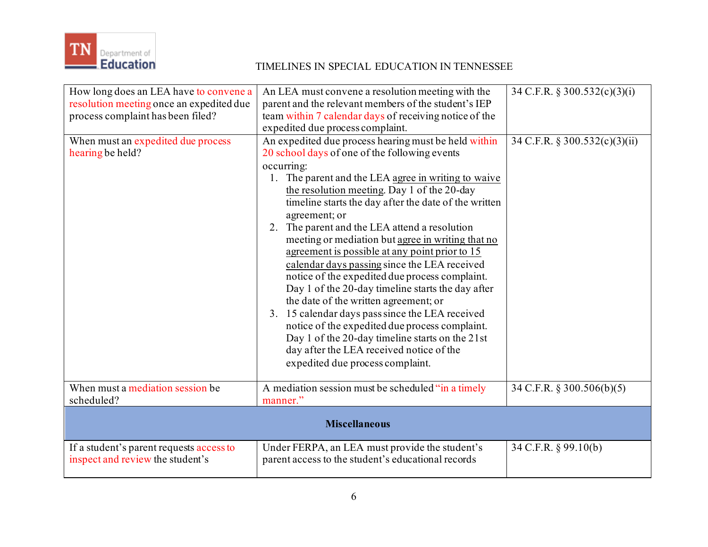

| How long does an LEA have to convene a<br>resolution meeting once an expedited due<br>process complaint has been filed?<br>When must an expedited due process<br>hearing be held? | An LEA must convene a resolution meeting with the<br>parent and the relevant members of the student's IEP<br>team within 7 calendar days of receiving notice of the<br>expedited due process complaint.<br>An expedited due process hearing must be held within<br>20 school days of one of the following events<br>occurring:<br>1. The parent and the LEA agree in writing to waive<br>the resolution meeting. Day 1 of the 20-day<br>timeline starts the day after the date of the written<br>agreement; or<br>2. The parent and the LEA attend a resolution<br>meeting or mediation but agree in writing that no<br>agreement is possible at any point prior to 15<br>calendar days passing since the LEA received<br>notice of the expedited due process complaint.<br>Day 1 of the 20-day timeline starts the day after<br>the date of the written agreement; or<br>3. 15 calendar days pass since the LEA received<br>notice of the expedited due process complaint.<br>Day 1 of the 20-day timeline starts on the 21st<br>day after the LEA received notice of the<br>expedited due process complaint. | 34 C.F.R. § 300.532(c)(3)(i)<br>34 C.F.R. § 300.532(c)(3)(ii) |
|-----------------------------------------------------------------------------------------------------------------------------------------------------------------------------------|----------------------------------------------------------------------------------------------------------------------------------------------------------------------------------------------------------------------------------------------------------------------------------------------------------------------------------------------------------------------------------------------------------------------------------------------------------------------------------------------------------------------------------------------------------------------------------------------------------------------------------------------------------------------------------------------------------------------------------------------------------------------------------------------------------------------------------------------------------------------------------------------------------------------------------------------------------------------------------------------------------------------------------------------------------------------------------------------------------------|---------------------------------------------------------------|
| When must a mediation session be<br>scheduled?                                                                                                                                    | A mediation session must be scheduled "in a timely<br>manner."                                                                                                                                                                                                                                                                                                                                                                                                                                                                                                                                                                                                                                                                                                                                                                                                                                                                                                                                                                                                                                                 | 34 C.F.R. § 300.506(b)(5)                                     |
| <b>Miscellaneous</b>                                                                                                                                                              |                                                                                                                                                                                                                                                                                                                                                                                                                                                                                                                                                                                                                                                                                                                                                                                                                                                                                                                                                                                                                                                                                                                |                                                               |
| If a student's parent requests access to<br>inspect and review the student's                                                                                                      | Under FERPA, an LEA must provide the student's<br>parent access to the student's educational records                                                                                                                                                                                                                                                                                                                                                                                                                                                                                                                                                                                                                                                                                                                                                                                                                                                                                                                                                                                                           | 34 C.F.R. § 99.10(b)                                          |